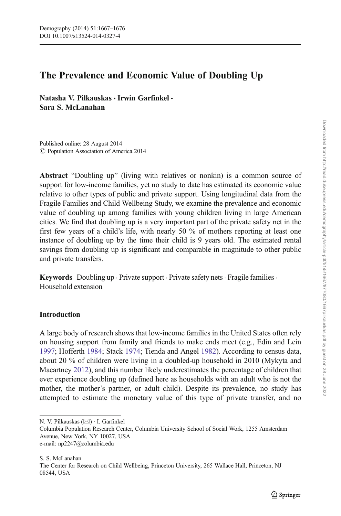# The Prevalence and Economic Value of Doubling Up

Natasha V. Pilkauskas • Irwin Garfinkel • Sara S. McLanahan

Published online: 28 August 2014 C Population Association of America 2014

Abstract "Doubling up" (living with relatives or nonkin) is a common source of support for low-income families, yet no study to date has estimated its economic value relative to other types of public and private support. Using longitudinal data from the Fragile Families and Child Wellbeing Study, we examine the prevalence and economic value of doubling up among families with young children living in large American cities. We find that doubling up is a very important part of the private safety net in the first few years of a child's life, with nearly 50 % of mothers reporting at least one instance of doubling up by the time their child is 9 years old. The estimated rental savings from doubling up is significant and comparable in magnitude to other public and private transfers.

**Keywords** Doubling up  $\cdot$  Private support  $\cdot$  Private safety nets  $\cdot$  Fragile families. Household extension

### **Introduction**

A large body of research shows that low-income families in the United States often rely on housing support from family and friends to make ends meet (e.g., Edin and Lein [1997;](#page-9-0) Hofferth [1984](#page-9-0); Stack [1974;](#page-9-0) Tienda and Angel [1982\)](#page-9-0). According to census data, about 20 % of children were living in a doubled-up household in 2010 (Mykyta and Macartney [2012](#page-9-0)), and this number likely underestimates the percentage of children that ever experience doubling up (defined here as households with an adult who is not the mother, the mother's partner, or adult child). Despite its prevalence, no study has attempted to estimate the monetary value of this type of private transfer, and no

N. V. Pilkauskas  $(\boxtimes) \cdot$  I. Garfinkel

S. S. McLanahan The Center for Research on Child Wellbeing, Princeton University, 265 Wallace Hall, Princeton, NJ 08544, USA

Columbia Population Research Center, Columbia University School of Social Work, 1255 Amsterdam Avenue, New York, NY 10027, USA e-mail: np2247@columbia.edu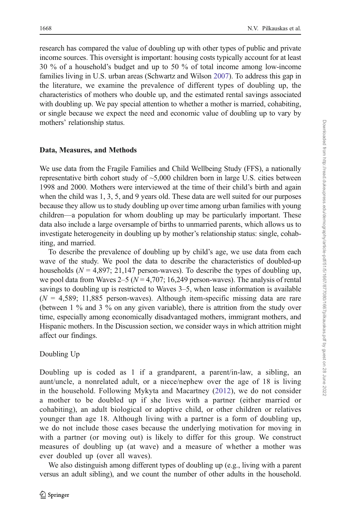research has compared the value of doubling up with other types of public and private income sources. This oversight is important: housing costs typically account for at least 30 % of a household's budget and up to 50 % of total income among low-income families living in U.S. urban areas (Schwartz and Wilson [2007\)](#page-9-0). To address this gap in the literature, we examine the prevalence of different types of doubling up, the characteristics of mothers who double up, and the estimated rental savings associated with doubling up. We pay special attention to whether a mother is married, cohabiting, or single because we expect the need and economic value of doubling up to vary by mothers' relationship status.

# Data, Measures, and Methods

We use data from the Fragile Families and Child Wellbeing Study (FFS), a nationally representative birth cohort study of  $\sim 5,000$  children born in large U.S. cities between 1998 and 2000. Mothers were interviewed at the time of their child's birth and again when the child was 1, 3, 5, and 9 years old. These data are well suited for our purposes because they allow us to study doubling up over time among urban families with young children—a population for whom doubling up may be particularly important. These data also include a large oversample of births to unmarried parents, which allows us to investigate heterogeneity in doubling up by mother's relationship status: single, cohabiting, and married.

To describe the prevalence of doubling up by child's age, we use data from each wave of the study. We pool the data to describe the characteristics of doubled-up households ( $N = 4,897$ ; 21,147 person-waves). To describe the types of doubling up, we pool data from Waves  $2-5$  ( $N=4,707$ ; 16,249 person-waves). The analysis of rental savings to doubling up is restricted to Waves 3–5, when lease information is available  $(N = 4,589; 11,885$  person-waves). Although item-specific missing data are rare (between 1 % and 3 % on any given variable), there is attrition from the study over time, especially among economically disadvantaged mothers, immigrant mothers, and Hispanic mothers. In the Discussion section, we consider ways in which attrition might affect our findings.

# Doubling Up

Doubling up is coded as 1 if a grandparent, a parent/in-law, a sibling, an aunt/uncle, a nonrelated adult, or a niece/nephew over the age of 18 is living in the household. Following Mykyta and Macartney [\(2012\)](#page-9-0), we do not consider a mother to be doubled up if she lives with a partner (either married or cohabiting), an adult biological or adoptive child, or other children or relatives younger than age 18. Although living with a partner is a form of doubling up, we do not include those cases because the underlying motivation for moving in with a partner (or moving out) is likely to differ for this group. We construct measures of doubling up (at wave) and a measure of whether a mother was ever doubled up (over all waves).

We also distinguish among different types of doubling up (e.g., living with a parent versus an adult sibling), and we count the number of other adults in the household.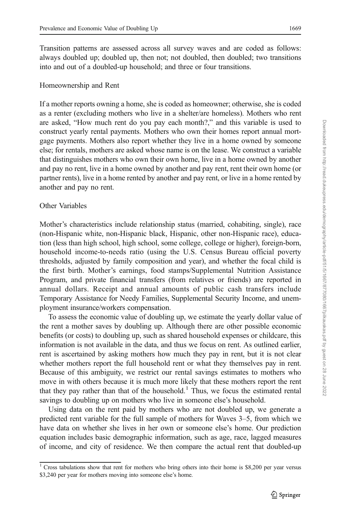Transition patterns are assessed across all survey waves and are coded as follows: always doubled up; doubled up, then not; not doubled, then doubled; two transitions into and out of a doubled-up household; and three or four transitions.

#### Homeownership and Rent

If a mother reports owning a home, she is coded as homeowner; otherwise, she is coded as a renter (excluding mothers who live in a shelter/are homeless). Mothers who rent are asked, "How much rent do you pay each month?," and this variable is used to construct yearly rental payments. Mothers who own their homes report annual mortgage payments. Mothers also report whether they live in a home owned by someone else; for rentals, mothers are asked whose name is on the lease. We construct a variable that distinguishes mothers who own their own home, live in a home owned by another and pay no rent, live in a home owned by another and pay rent, rent their own home (or partner rents), live in a home rented by another and pay rent, or live in a home rented by another and pay no rent.

#### Other Variables

Mother's characteristics include relationship status (married, cohabiting, single), race (non-Hispanic white, non-Hispanic black, Hispanic, other non-Hispanic race), education (less than high school, high school, some college, college or higher), foreign-born, household income-to-needs ratio (using the U.S. Census Bureau official poverty thresholds, adjusted by family composition and year), and whether the focal child is the first birth. Mother's earnings, food stamps/Supplemental Nutrition Assistance Program, and private financial transfers (from relatives or friends) are reported in annual dollars. Receipt and annual amounts of public cash transfers include Temporary Assistance for Needy Families, Supplemental Security Income, and unemployment insurance/workers compensation.

To assess the economic value of doubling up, we estimate the yearly dollar value of the rent a mother saves by doubling up. Although there are other possible economic benefits (or costs) to doubling up, such as shared household expenses or childcare, this information is not available in the data, and thus we focus on rent. As outlined earlier, rent is ascertained by asking mothers how much they pay in rent, but it is not clear whether mothers report the full household rent or what they themselves pay in rent. Because of this ambiguity, we restrict our rental savings estimates to mothers who move in with others because it is much more likely that these mothers report the rent that they pay rather than that of the household.<sup>1</sup> Thus, we focus the estimated rental savings to doubling up on mothers who live in someone else's household.

Using data on the rent paid by mothers who are not doubled up, we generate a predicted rent variable for the full sample of mothers for Waves 3–5, from which we have data on whether she lives in her own or someone else's home. Our prediction equation includes basic demographic information, such as age, race, lagged measures of income, and city of residence. We then compare the actual rent that doubled-up

<sup>&</sup>lt;sup>1</sup> Cross tabulations show that rent for mothers who bring others into their home is \$8,200 per year versus \$3,240 per year for mothers moving into someone else's home.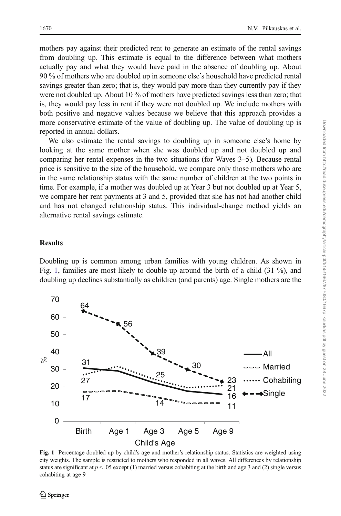mothers pay against their predicted rent to generate an estimate of the rental savings from doubling up. This estimate is equal to the difference between what mothers actually pay and what they would have paid in the absence of doubling up. About 90 % of mothers who are doubled up in someone else's household have predicted rental savings greater than zero; that is, they would pay more than they currently pay if they were not doubled up. About 10 % of mothers have predicted savings less than zero; that is, they would pay less in rent if they were not doubled up. We include mothers with both positive and negative values because we believe that this approach provides a more conservative estimate of the value of doubling up. The value of doubling up is reported in annual dollars.

We also estimate the rental savings to doubling up in someone else's home by looking at the same mother when she was doubled up and not doubled up and comparing her rental expenses in the two situations (for Waves 3–5). Because rental price is sensitive to the size of the household, we compare only those mothers who are in the same relationship status with the same number of children at the two points in time. For example, if a mother was doubled up at Year 3 but not doubled up at Year 5, we compare her rent payments at 3 and 5, provided that she has not had another child and has not changed relationship status. This individual-change method yields an alternative rental savings estimate.

#### Results

Doubling up is common among urban families with young children. As shown in Fig. 1, families are most likely to double up around the birth of a child (31 %), and doubling up declines substantially as children (and parents) age. Single mothers are the



Fig. 1 Percentage doubled up by child's age and mother's relationship status. Statistics are weighted using city weights. The sample is restricted to mothers who responded in all waves. All differences by relationship status are significant at  $p < 0.05$  except (1) married versus cohabiting at the birth and age 3 and (2) single versus cohabiting at age 9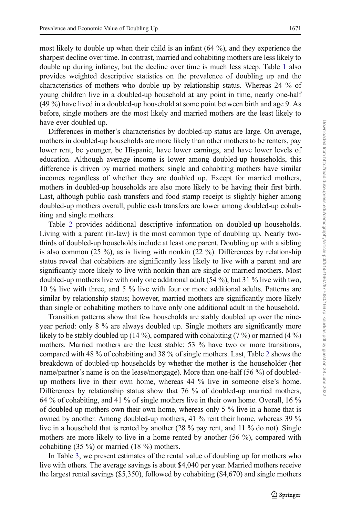most likely to double up when their child is an infant (64 %), and they experience the sharpest decline over time. In contrast, married and cohabiting mothers are less likely to double up during infancy, but the decline over time is much less steep. Table [1](#page-5-0) also provides weighted descriptive statistics on the prevalence of doubling up and the characteristics of mothers who double up by relationship status. Whereas 24 % of young children live in a doubled-up household at any point in time, nearly one-half (49 %) have lived in a doubled-up household at some point between birth and age 9. As before, single mothers are the most likely and married mothers are the least likely to have ever doubled up.

Differences in mother's characteristics by doubled-up status are large. On average, mothers in doubled-up households are more likely than other mothers to be renters, pay lower rent, be younger, be Hispanic, have lower earnings, and have lower levels of education. Although average income is lower among doubled-up households, this difference is driven by married mothers; single and cohabiting mothers have similar incomes regardless of whether they are doubled up. Except for married mothers, mothers in doubled-up households are also more likely to be having their first birth. Last, although public cash transfers and food stamp receipt is slightly higher among doubled-up mothers overall, public cash transfers are lower among doubled-up cohabiting and single mothers.

Table [2](#page-6-0) provides additional descriptive information on doubled-up households. Living with a parent (in-law) is the most common type of doubling up. Nearly twothirds of doubled-up households include at least one parent. Doubling up with a sibling is also common  $(25 \%)$ , as is living with nonkin  $(22 \%)$ . Differences by relationship status reveal that cohabiters are significantly less likely to live with a parent and are significantly more likely to live with nonkin than are single or married mothers. Most doubled-up mothers live with only one additional adult (54 %), but 31 % live with two, 10 % live with three, and 5 % live with four or more additional adults. Patterns are similar by relationship status; however, married mothers are significantly more likely than single or cohabiting mothers to have only one additional adult in the household.

Transition patterns show that few households are stably doubled up over the nineyear period: only 8 % are always doubled up. Single mothers are significantly more likely to be stably doubled up  $(14 \%)$ , compared with cohabiting  $(7 \%)$  or married  $(4 \%)$ mothers. Married mothers are the least stable: 53 % have two or more transitions, compared with 48 % of cohabiting and 38 % of single mothers. Last, Table [2](#page-6-0) shows the breakdown of doubled-up households by whether the mother is the householder (her name/partner's name is on the lease/mortgage). More than one-half (56 %) of doubledup mothers live in their own home, whereas 44 % live in someone else's home. Differences by relationship status show that 76 % of doubled-up married mothers, 64 % of cohabiting, and 41 % of single mothers live in their own home. Overall, 16 % of doubled-up mothers own their own home, whereas only 5 % live in a home that is owned by another. Among doubled-up mothers, 41 % rent their home, whereas 39 % live in a household that is rented by another (28 % pay rent, and 11 % do not). Single mothers are more likely to live in a home rented by another (56 %), compared with cohabiting (35 %) or married (18 %) mothers.

In Table [3,](#page-7-0) we present estimates of the rental value of doubling up for mothers who live with others. The average savings is about \$4,040 per year. Married mothers receive the largest rental savings (\$5,350), followed by cohabiting (\$4,670) and single mothers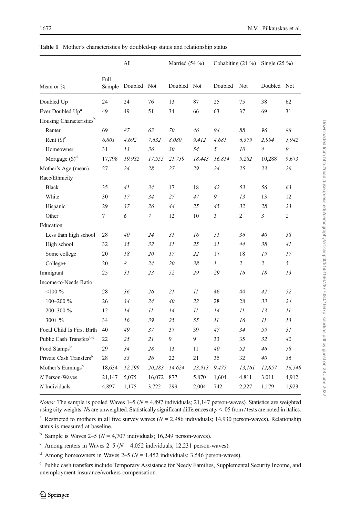|                                      | Full<br>Sample | All         |                | Married $(54\%)$ |        | Cohabiting $(21 \%)$ |                | Single $(25\%)$ |                |
|--------------------------------------|----------------|-------------|----------------|------------------|--------|----------------------|----------------|-----------------|----------------|
| Mean or %                            |                | Doubled Not |                | Doubled Not      |        | Doubled              | Not            | Doubled Not     |                |
| Doubled Up                           | 24             | 24          | 76             | 13               | 87     | 25                   | 75             | 38              | 62             |
| Ever Doubled Up <sup>a</sup>         | 49             | 49          | 51             | 34               | 66     | 63                   | 37             | 69              | 31             |
| Housing Characteristics <sup>b</sup> |                |             |                |                  |        |                      |                |                 |                |
| Renter                               | 69             | 87          | 63             | 70               | 46     | 94                   | 88             | 96              | 88             |
| Rent $(S)^c$                         | 6.801          | 4,692       | 7,632          | 8,080            | 9,412  | 4,681                | 6.379          | 2,994           | 5,942          |
| Homeowner                            | 31             | 13          | 36             | 30               | 54     | 5                    | 10             | $\overline{4}$  | 9              |
| Mortgage $(S)^d$                     | 17,798         | 19,982      | 17,555         | 21,759           | 18,443 | 16,814               | 9,282          | 10,288          | 9,673          |
| Mother's Age (mean)                  | 27             | 24          | 28             | 27               | 29     | 24                   | 25             | 23              | 26             |
| Race/Ethnicity                       |                |             |                |                  |        |                      |                |                 |                |
| <b>Black</b>                         | 35             | 41          | 34             | 17               | 18     | 42                   | 53             | 56              | 63             |
| White                                | 30             | 17          | 34             | 27               | 47     | 9                    | 13             | 13              | 12             |
| Hispanic                             | 29             | 37          | 26             | 44               | 25     | 45                   | 32             | 28              | 23             |
| Other                                | 7              | 6           | $\overline{7}$ | 12               | 10     | 3                    | $\overline{c}$ | $\mathfrak{Z}$  | $\overline{2}$ |
| Education                            |                |             |                |                  |        |                      |                |                 |                |
| Less than high school                | 28             | 40          | 24             | 31               | 16     | 51                   | 36             | 40              | 38             |
| High school                          | 32             | 35          | 32             | 31               | 25     | 31                   | 44             | 38              | 41             |
| Some college                         | 20             | 18          | 20             | 17               | 22     | 17                   | 18             | 19              | 17             |
| College+                             | 20             | 8           | 24             | 20               | 38     | 1                    | $\overline{c}$ | $\overline{c}$  | 5              |
| Immigrant                            | 25             | 31          | 23             | 52               | 29     | 29                   | 16             | 18              | 13             |
| Income-to-Needs Ratio                |                |             |                |                  |        |                      |                |                 |                |
| $<$ 100 %                            | 28             | 36          | 26             | 21               | 11     | 46                   | 44             | 42              | 52             |
| 100-200 %                            | 26             | 34          | 24             | 40               | 22     | 28                   | 28             | 33              | 24             |
| 200-300 %                            | 12             | 14          | 11             | 14               | 11     | 14                   | 11             | 13              | $_{11}$        |
| $300 + %$                            | 34             | 16          | 39             | 25               | 55     | 11                   | 16             | 11              | 13             |
| Focal Child Is First Birth           | 40             | 49          | 37             | 37               | 39     | 47                   | 34             | 59              | 31             |
| Public Cash Transfers <sup>b,e</sup> | 22             | 25          | 21             | 9                | 9      | 33                   | 35             | 32              | 42             |
| Food Stamps <sup>b</sup>             | 29             | 34          | 28             | 13               | 11     | 40                   | 52             | 46              | 58             |
| Private Cash Transfers <sup>b</sup>  | 28             | 33          | 26             | 22               | 21     | 35                   | 32             | 40              | 36             |
| Mother's Earnings <sup>b</sup>       | 18,634         | 12,599      | 20,283         | 14,624           | 23,913 | 9,475                | 13,161         | 12,857          | 16,548         |
| $N$ Person-Waves                     | 21,147         | 5,075       | 16,072         | 877              | 5,870  | 1,604                | 4,811          | 3,011           | 4,912          |
| $N$ Individuals                      | 4,897          | 1,175       | 3,722          | 299              | 2,004  | 742                  | 2,227          | 1,179           | 1,923          |

<span id="page-5-0"></span>

| Table 1 Mother's characteristics by doubled-up status and relationship status |  |
|-------------------------------------------------------------------------------|--|
|-------------------------------------------------------------------------------|--|

*Notes:* The sample is pooled Waves  $1-5$  ( $N = 4,897$  individuals; 21,147 person-waves). Statistics are weighted using city weights. Ns are unweighted. Statistically significant differences at  $p < 0.05$  from t tests are noted in italics.

<sup>a</sup> Restricted to mothers in all five survey waves ( $N = 2,986$  individuals; 14,930 person-waves). Relationship status is measured at baseline.

<sup>b</sup> Sample is Waves 2–5 ( $N = 4,707$  individuals; 16,249 person-waves).

<sup>c</sup> Among renters in Waves 2–5 ( $N = 4,052$  individuals; 12,231 person-waves).

<sup>d</sup> Among homeowners in Waves 2–5 ( $N = 1,452$  individuals; 3,546 person-waves).

<sup>e</sup> Public cash transfers include Temporary Assistance for Needy Families, Supplemental Security Income, and unemployment insurance/workers compensation.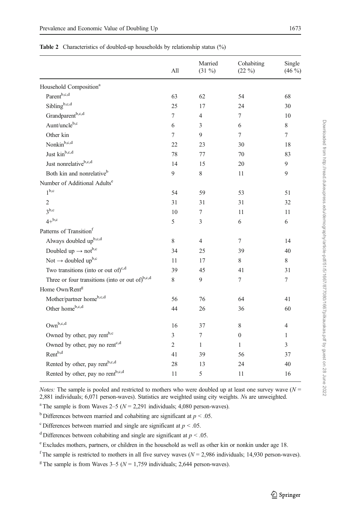|                                                    | All            | Married<br>$(31\%)$ | Cohabiting<br>$(22\%)$ | Single<br>$(46\%)$ |
|----------------------------------------------------|----------------|---------------------|------------------------|--------------------|
| Household Composition <sup>a</sup>                 |                |                     |                        |                    |
| Parent <sup>b,c,d</sup>                            | 63             | 62                  | 54                     | 68                 |
| Siblingb,c,d                                       | 25             | 17                  | 24                     | 30                 |
| Grandparentb,c,d                                   | 7              | $\overline{4}$      | 7                      | 10                 |
| Aunt/uncleb,c                                      | 6              | 3                   | 6                      | 8                  |
| Other kin                                          | 7              | 9                   | 7                      | 7                  |
| Nonkinb,c,d                                        | 22             | 23                  | 30                     | 18                 |
| Just kinb,c,d                                      | 78             | 77                  | 70                     | 83                 |
| Just nonrelative <sup>b,c,d</sup>                  | 14             | 15                  | 20                     | 9                  |
| Both kin and nonrelative <sup>b</sup>              | 9              | 8                   | 11                     | 9                  |
| Number of Additional Adults <sup>e</sup>           |                |                     |                        |                    |
| 1 <sup>b,c</sup>                                   | 54             | 59                  | 53                     | 51                 |
| $\overline{2}$                                     | 31             | 31                  | 31                     | 32                 |
| $3^{b,c}$                                          | 10             | 7                   | 11                     | 11                 |
| $4+^{b,c}$                                         | 5              | 3                   | 6                      | 6                  |
| Patterns of Transition <sup>f</sup>                |                |                     |                        |                    |
| Always doubled upb,c,d                             | 8              | $\overline{4}$      | 7                      | 14                 |
| Doubled up $\rightarrow$ not <sup>b,c</sup>        | 34             | 25                  | 39                     | 40                 |
| Not $\rightarrow$ doubled up <sup>b,c</sup>        | 11             | 17                  | 8                      | 8                  |
| Two transitions (into or out of) $c,d$             | 39             | 45                  | 41                     | 31                 |
| Three or four transitions (into or out of) $b,c,d$ | 8              | 9                   | 7                      | 7                  |
| Home Own/Rent <sup>g</sup>                         |                |                     |                        |                    |
| Mother/partner home <sup>b,c,d</sup>               | 56             | 76                  | 64                     | 41                 |
| Other home <sup>b,c,d</sup>                        | 44             | 26                  | 36                     | 60                 |
| $Own^{b,c,d}$                                      | 16             | 37                  | 8                      | 4                  |
| Owned by other, pay rent <sup>b,c</sup>            | 3              | $\tau$              | $\boldsymbol{0}$       | 1                  |
| Owned by other, pay no rent <sup>c,d</sup>         | $\overline{c}$ | $\mathbf{1}$        | $\mathbf{1}$           | 3                  |
| Rent <sup>b,d</sup>                                | 41             | 39                  | 56                     | 37                 |
| Rented by other, pay rent <sup>b,c,d</sup>         | 28             | 13                  | 24                     | 40                 |
| Rented by other, pay no rent <sup>b,c,d</sup>      | 11             | 5                   | 11                     | 16                 |

<span id="page-6-0"></span>Table 2 Characteristics of doubled-up households by relationship status (%)

Notes: The sample is pooled and restricted to mothers who were doubled up at least one survey wave  $(N = 1)$ 2,881 individuals; 6,071 person-waves). Statistics are weighted using city weights. Ns are unweighted.

<sup>a</sup> The sample is from Waves 2–5 ( $N = 2,291$  individuals; 4,080 person-waves).

 $<sup>b</sup>$  Differences between married and cohabiting are significant at  $p < .05$ .</sup>

<sup>c</sup> Differences between married and single are significant at  $p < .05$ .

<sup>d</sup> Differences between cohabiting and single are significant at  $p < .05$ .

<sup>e</sup> Excludes mothers, partners, or children in the household as well as other kin or nonkin under age 18.

<sup>f</sup> The sample is restricted to mothers in all five survey waves ( $N = 2,986$  individuals; 14,930 person-waves).

<sup>g</sup> The sample is from Waves 3–5 ( $N = 1,759$  individuals; 2,644 person-waves).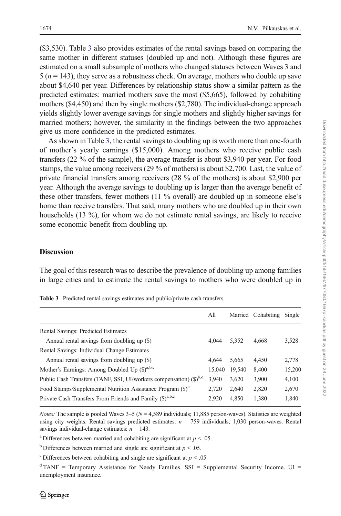<span id="page-7-0"></span>(\$3,530). Table 3 also provides estimates of the rental savings based on comparing the same mother in different statuses (doubled up and not). Although these figures are estimated on a small subsample of mothers who changed statuses between Waves 3 and  $5 (n = 143)$ , they serve as a robustness check. On average, mothers who double up save about \$4,640 per year. Differences by relationship status show a similar pattern as the predicted estimates: married mothers save the most (\$5,665), followed by cohabiting mothers (\$4,450) and then by single mothers (\$2,780). The individual-change approach yields slightly lower average savings for single mothers and slightly higher savings for married mothers; however, the similarity in the findings between the two approaches give us more confidence in the predicted estimates.

As shown in Table 3, the rental savings to doubling up is worth more than one-fourth of mother's yearly earnings (\$15,000). Among mothers who receive public cash transfers (22 % of the sample), the average transfer is about \$3,940 per year. For food stamps, the value among receivers (29 % of mothers) is about \$2,700. Last, the value of private financial transfers among receivers (28 % of the mothers) is about \$2,900 per year. Although the average savings to doubling up is larger than the average benefit of these other transfers, fewer mothers (11 % overall) are doubled up in someone else's home than receive transfers. That said, many mothers who are doubled up in their own households (13 %), for whom we do not estimate rental savings, are likely to receive some economic benefit from doubling up.

#### **Discussion**

The goal of this research was to describe the prevalence of doubling up among families in large cities and to estimate the rental savings to mothers who were doubled up in

|                                                                                | All    |        | Married Cohabiting | Single |
|--------------------------------------------------------------------------------|--------|--------|--------------------|--------|
| Rental Savings: Predicted Estimates                                            |        |        |                    |        |
| Annual rental savings from doubling up (\$)                                    | 4.044  | 5,352  | 4.668              | 3,528  |
| Rental Savings: Individual Change Estimates                                    |        |        |                    |        |
| Annual rental savings from doubling up (\$)                                    | 4.644  | 5.665  | 4.450              | 2,778  |
| Mother's Earnings: Among Doubled Up $(\text{\$})^{a,b,c}$                      | 15,040 | 19,540 | 8,400              | 15,200 |
| Public Cash Transfers (TANF, SSI, UI/workers compensation) (\$) <sup>b,d</sup> | 3,940  | 3,620  | 3,900              | 4,100  |
| Food Stamps/Supplemental Nutrition Assistance Program (\$) <sup>c</sup>        | 2,720  | 2,640  | 2,820              | 2,670  |
| Private Cash Transfers From Friends and Family $(\text{\$})^{a,b,c}$           | 2,920  | 4,850  | 1,380              | 1,840  |

Table 3 Predicted rental savings estimates and public/private cash transfers

*Notes:* The sample is pooled Waves  $3-5$  ( $N=4,589$  individuals; 11,885 person-waves). Statistics are weighted using city weights. Rental savings predicted estimates:  $n = 759$  individuals; 1,030 person-waves. Rental savings individual-change estimates:  $n = 143$ .

<sup>a</sup> Differences between married and cohabiting are significant at  $p < .05$ .

<sup>b</sup> Differences between married and single are significant at  $p < .05$ .

<sup>c</sup> Differences between cohabiting and single are significant at  $p < .05$ .

 $d$  TANF = Temporary Assistance for Needy Families. SSI = Supplemental Security Income. UI = unemployment insurance.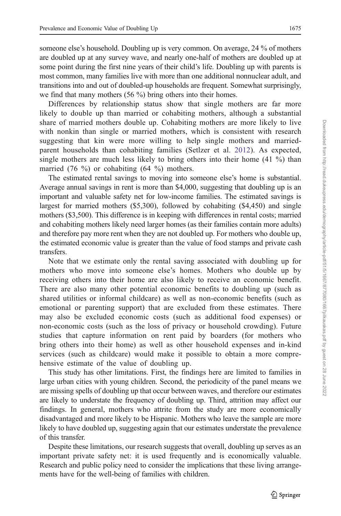someone else's household. Doubling up is very common. On average, 24 % of mothers are doubled up at any survey wave, and nearly one-half of mothers are doubled up at some point during the first nine years of their child's life. Doubling up with parents is most common, many families live with more than one additional nonnuclear adult, and transitions into and out of doubled-up households are frequent. Somewhat surprisingly, we find that many mothers (56 %) bring others into their homes.

Differences by relationship status show that single mothers are far more likely to double up than married or cohabiting mothers, although a substantial share of married mothers double up. Cohabiting mothers are more likely to live with nonkin than single or married mothers, which is consistent with research suggesting that kin were more willing to help single mothers and marriedparent households than cohabiting families (Setlzer et al. [2012\)](#page-9-0). As expected, single mothers are much less likely to bring others into their home (41 %) than married  $(76 \%)$  or cohabiting  $(64 \%)$  mothers.

The estimated rental savings to moving into someone else's home is substantial. Average annual savings in rent is more than \$4,000, suggesting that doubling up is an important and valuable safety net for low-income families. The estimated savings is largest for married mothers (\$5,300), followed by cohabiting (\$4,450) and single mothers (\$3,500). This difference is in keeping with differences in rental costs; married and cohabiting mothers likely need larger homes (as their families contain more adults) and therefore pay more rent when they are not doubled up. For mothers who double up, the estimated economic value is greater than the value of food stamps and private cash transfers.

Note that we estimate only the rental saving associated with doubling up for mothers who move into someone else's homes. Mothers who double up by receiving others into their home are also likely to receive an economic benefit. There are also many other potential economic benefits to doubling up (such as shared utilities or informal childcare) as well as non-economic benefits (such as emotional or parenting support) that are excluded from these estimates. There may also be excluded economic costs (such as additional food expenses) or non-economic costs (such as the loss of privacy or household crowding). Future studies that capture information on rent paid by boarders (for mothers who bring others into their home) as well as other household expenses and in-kind services (such as childcare) would make it possible to obtain a more comprehensive estimate of the value of doubling up.

This study has other limitations. First, the findings here are limited to families in large urban cities with young children. Second, the periodicity of the panel means we are missing spells of doubling up that occur between waves, and therefore our estimates are likely to understate the frequency of doubling up. Third, attrition may affect our findings. In general, mothers who attrite from the study are more economically disadvantaged and more likely to be Hispanic. Mothers who leave the sample are more likely to have doubled up, suggesting again that our estimates understate the prevalence of this transfer.

Despite these limitations, our research suggests that overall, doubling up serves as an important private safety net: it is used frequently and is economically valuable. Research and public policy need to consider the implications that these living arrangements have for the well-being of families with children.